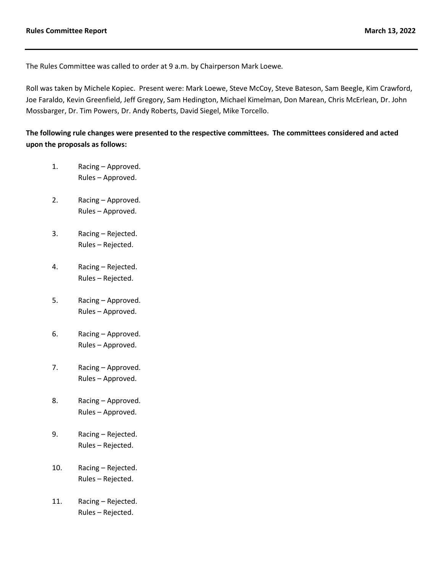The Rules Committee was called to order at 9 a.m. by Chairperson Mark Loewe*.*

Roll was taken by Michele Kopiec. Present were: Mark Loewe, Steve McCoy, Steve Bateson, Sam Beegle, Kim Crawford, Joe Faraldo, Kevin Greenfield, Jeff Gregory, Sam Hedington, Michael Kimelman, Don Marean, Chris McErlean, Dr. John Mossbarger, Dr. Tim Powers, Dr. Andy Roberts, David Siegel, Mike Torcello.

**The following rule changes were presented to the respective committees. The committees considered and acted upon the proposals as follows:**

- 1. Racing Approved. Rules – Approved.
- 2. Racing Approved. Rules – Approved.
- 3. Racing Rejected. Rules – Rejected.
- 4. Racing Rejected. Rules – Rejected.
- 5. Racing Approved. Rules – Approved.
- 6. Racing Approved. Rules – Approved.
- 7. Racing Approved. Rules – Approved.
- 8. Racing Approved. Rules – Approved.
- 9. Racing Rejected. Rules – Rejected.
- 10. Racing Rejected. Rules – Rejected.
- 11. Racing Rejected. Rules – Rejected.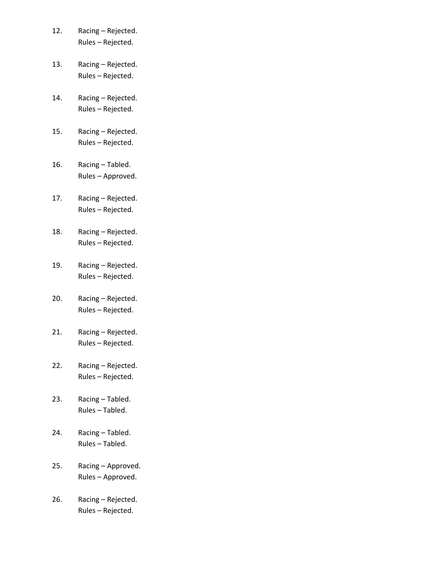| 12. | Racing - Rejected. |
|-----|--------------------|
|     | Rules - Rejected.  |

- 13. Racing Rejected. Rules – Rejected.
- 14. Racing Rejected. Rules – Rejected.
- 15. Racing Rejected. Rules – Rejected.
- 16. Racing Tabled. Rules – Approved.
- 17. Racing Rejected. Rules – Rejected.
- 18. Racing Rejected. Rules – Rejected.
- 19. Racing Rejected. Rules – Rejected.
- 20. Racing Rejected. Rules – Rejected.
- 21. Racing Rejected. Rules – Rejected.
- 22. Racing Rejected. Rules – Rejected.
- 23. Racing Tabled. Rules – Tabled.
- 24. Racing Tabled. Rules – Tabled.
- 25. Racing Approved. Rules – Approved.
- 26. Racing Rejected. Rules – Rejected.